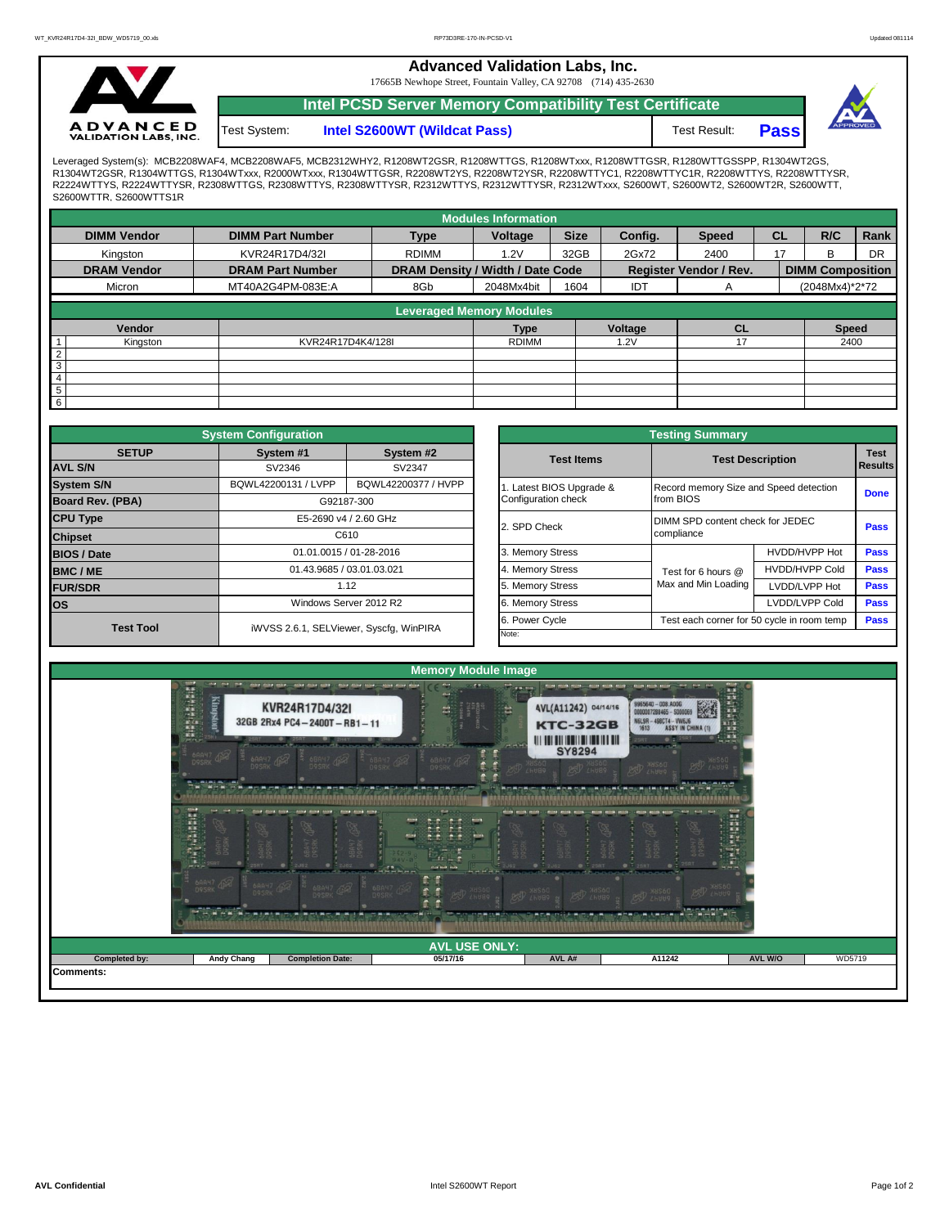**Advanced Validation Labs, Inc.** 

17665B Newhope Street, Fountain Valley, CA 92708 (714) 435-2630



**Intel S2600WT (Wildcat Pass)** Test Result: **Pass Intel PCSD Server Memory Compatibility Test Certificate** Test System:



Leveraged System(s): MCB2208WAF4, MCB2208WAF5, MCB2312WHY2, R1208WT2GSR, R1208WTTGS, R1208WTXxx, R1208WTTGSR, R1280WTTGSSPP, R1304WT2GS,<br>R1304WT2GSR, R1304WTTGS, R1304WTxxx, R2000WTxxx, R1304WTTGSR, R2208WT2YS, R2208WT2YS R2224WTTYS, R2224WTTYSR, R2308WTTGS, R2308WTTYS, R2308WTTYSR, R2312WTTYS, R2312WTTYSR, R2312WTxxx, S2600WT, S2600WT2, S2600WT2R, S2600WTT, S2600WTTR, S2600WTTS1R

|                    |                         |                                  | <b>Modules Information</b> |             |         |                               |           |                         |      |  |
|--------------------|-------------------------|----------------------------------|----------------------------|-------------|---------|-------------------------------|-----------|-------------------------|------|--|
| <b>DIMM Vendor</b> | <b>DIMM Part Number</b> | <b>Type</b>                      | Voltage                    | <b>Size</b> | Config. | <b>Speed</b>                  | <b>CL</b> | R/C                     | Rank |  |
| Kingston           | KVR24R17D4/32I          | <b>RDIMM</b>                     | 1.2V                       | 32GB        | 2Gx72   | 2400                          | 17        | в                       | DR   |  |
| <b>DRAM Vendor</b> | <b>DRAM Part Number</b> | DRAM Density / Width / Date Code |                            |             |         | <b>Register Vendor / Rev.</b> |           | <b>DIMM Composition</b> |      |  |
| Micron             | MT40A2G4PM-083E:A       | 8G <sub>b</sub>                  | 2048Mx4bit                 | 1604        | IDT     | A                             |           | (2048Mx4)*2*72          |      |  |
|                    |                         | <b>Leveraged Memory Modules</b>  |                            |             |         |                               |           |                         |      |  |
| Vendor             |                         |                                  | <b>Type</b>                |             | Voltage | CL                            |           | <b>Speed</b>            |      |  |
| Kingston           | KVR24R17D4K4/128I       |                                  | <b>RDIMM</b>               |             | 1.2V    | 17                            |           |                         | 2400 |  |
| $\overline{2}$     |                         |                                  |                            |             |         |                               |           |                         |      |  |
| 3<br>4             |                         |                                  |                            |             |         |                               |           |                         |      |  |
| $\overline{5}$     |                         |                                  |                            |             |         |                               |           |                         |      |  |
| 6                  |                         |                                  |                            |             |         |                               |           |                         |      |  |

|                                        | <b>System Configuration</b> |                                         |                                                                                                                                                                                                                                                                                     |                                        | <b>Testing Summary</b>                     |                       |                        |  |  |  |
|----------------------------------------|-----------------------------|-----------------------------------------|-------------------------------------------------------------------------------------------------------------------------------------------------------------------------------------------------------------------------------------------------------------------------------------|----------------------------------------|--------------------------------------------|-----------------------|------------------------|--|--|--|
| <b>SETUP</b><br><b>AVL S/N</b>         | System #1<br>SV2346         | System #2<br>SV2347                     |                                                                                                                                                                                                                                                                                     | <b>Test Items</b>                      |                                            |                       | <b>Test</b><br>Results |  |  |  |
|                                        |                             |                                         | <b>Test Description</b><br>Latest BIOS Upgrade &<br>Configuration check<br>from BIOS<br>DIMM SPD content check for JEDEC<br>2. SPD Check<br>compliance<br>3. Memory Stress<br>4. Memory Stress<br>Test for 6 hours @<br>Max and Min Loading<br>5. Memory Stress<br>6. Memory Stress |                                        |                                            |                       |                        |  |  |  |
| <b>System S/N</b>                      | BQWL42200131 / LVPP         | BQWL42200377 / HVPP                     |                                                                                                                                                                                                                                                                                     | Record memory Size and Speed detection |                                            |                       | <b>Done</b>            |  |  |  |
| <b>Board Rev. (PBA)</b>                |                             | G92187-300                              |                                                                                                                                                                                                                                                                                     |                                        |                                            |                       |                        |  |  |  |
| <b>CPU Type</b>                        |                             | E5-2690 v4 / 2.60 GHz                   |                                                                                                                                                                                                                                                                                     |                                        |                                            |                       | Pass                   |  |  |  |
| <b>Chipset</b>                         |                             | C610                                    |                                                                                                                                                                                                                                                                                     |                                        |                                            |                       |                        |  |  |  |
|                                        |                             | 01.01.0015 / 01-28-2016                 |                                                                                                                                                                                                                                                                                     |                                        |                                            | HVDD/HVPP Hot         | Pass                   |  |  |  |
| <b>BMC/ME</b>                          |                             | 01.43.9685 / 03.01.03.021               |                                                                                                                                                                                                                                                                                     |                                        |                                            | <b>HVDD/HVPP Cold</b> | <b>Pass</b>            |  |  |  |
| <b>FUR/SDR</b>                         |                             | 1.12                                    |                                                                                                                                                                                                                                                                                     |                                        |                                            | LVDD/LVPP Hot         | <b>Pass</b>            |  |  |  |
| los                                    |                             | Windows Server 2012 R2                  |                                                                                                                                                                                                                                                                                     |                                        |                                            | LVDD/LVPP Cold        | <b>Pass</b>            |  |  |  |
| <b>BIOS / Date</b><br><b>Test Tool</b> |                             | iWVSS 2.6.1, SELViewer, Syscfq, WinPIRA |                                                                                                                                                                                                                                                                                     | 6. Power Cycle                         | Test each corner for 50 cycle in room temp | <b>Pass</b>           |                        |  |  |  |
|                                        |                             |                                         |                                                                                                                                                                                                                                                                                     | Note:                                  |                                            |                       |                        |  |  |  |

|              | <b>System Configuration</b> |                                         |                                                              | <b>Testing Summary</b>                         |                         |  |  |  |  |
|--------------|-----------------------------|-----------------------------------------|--------------------------------------------------------------|------------------------------------------------|-------------------------|--|--|--|--|
| <b>SETUP</b> | System #1                   | System #2                               | <b>Test Items</b>                                            |                                                | <b>Test Description</b> |  |  |  |  |
|              | SV2346                      | SV2347                                  |                                                              |                                                |                         |  |  |  |  |
|              | BQWL42200131 / LVPP         | BQWL42200377 / HVPP                     | Latest BIOS Upgrade &                                        | Record memory Size and Speed detection         |                         |  |  |  |  |
| PBA)         |                             | G92187-300                              | Configuration check                                          | from BIOS                                      |                         |  |  |  |  |
|              |                             | E5-2690 v4 / 2.60 GHz                   |                                                              | DIMM SPD content check for JEDEC<br>compliance |                         |  |  |  |  |
|              |                             | C610                                    | 2. SPD Check                                                 |                                                |                         |  |  |  |  |
|              |                             | 01.01.0015 / 01-28-2016                 | 3. Memory Stress                                             |                                                | HVDD/HVPP Hot           |  |  |  |  |
|              |                             | 01.43.9685 / 03.01.03.021               | 4. Memory Stress                                             | Test for 6 hours @                             | <b>HVDD/HVPP Cold</b>   |  |  |  |  |
|              |                             | 1.12                                    | 5. Memory Stress                                             | Max and Min Loading<br>LVDD/LVPP Hot           |                         |  |  |  |  |
|              |                             | Windows Server 2012 R2                  | 6. Memory Stress                                             |                                                | LVDD/LVPP Cold          |  |  |  |  |
|              |                             |                                         | 6. Power Cycle<br>Test each corner for 50 cycle in room temp |                                                |                         |  |  |  |  |
| est Tool     |                             | iWVSS 2.6.1, SELViewer, Syscfg, WinPIRA | Note:                                                        |                                                |                         |  |  |  |  |